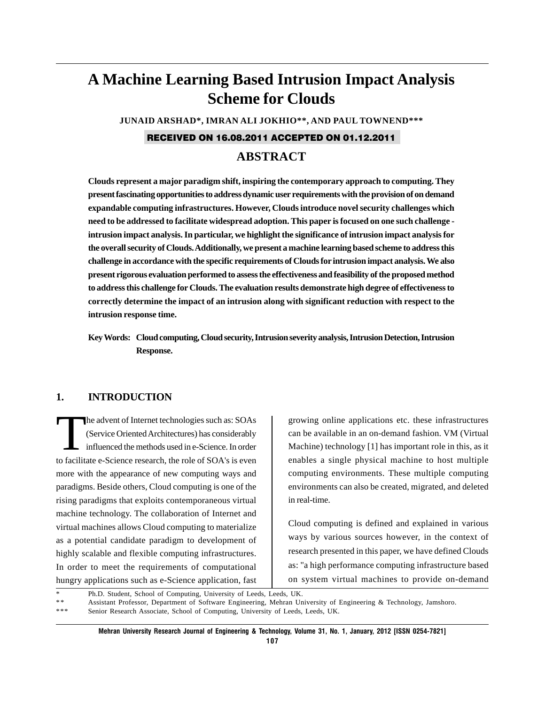# **A Machine Learning Based Intrusion Impact Analysis Scheme for Clouds**

**JUNAID ARSHAD\*, IMRAN ALI JOKHIO\*\*, AND PAUL TOWNEND\*\*\***

## RECEIVED ON 16.08.2011 ACCEPTED ON 01.12.2011

## **ABSTRACT**

**Clouds represent a major paradigm shift, inspiring the contemporary approach to computing. They present fascinating opportunities to address dynamic user requirements with the provision of on demand expandable computing infrastructures. However, Clouds introduce novel security challenges which need to be addressed to facilitate widespread adoption. This paper is focused on one such challenge intrusion impact analysis. In particular, we highlight the significance of intrusion impact analysis for the overall security of Clouds. Additionally, we present a machine learning based scheme to address this challenge in accordance with the specific requirements of Clouds for intrusion impact analysis. We also present rigorous evaluation performed to assess the effectiveness and feasibility of the proposed method to address this challenge for Clouds. The evaluation results demonstrate high degree of effectiveness to correctly determine the impact of an intrusion along with significant reduction with respect to the intrusion response time.**

**Key Words: Cloud computing, Cloud security, Intrusion severity analysis, Intrusion Detection, Intrusion Response.**

### **1. INTRODUCTION**

The advent of Internet technologies such as: SOAs (Service Oriented Architectures) has considerably influenced the methods used in e-Science. In order to facilitate e-Science research, the role of SOA's is even more with the appearance of new computing ways and paradigms. Beside others, Cloud computing is one of the rising paradigms that exploits contemporaneous virtual machine technology. The collaboration of Internet and virtual machines allows Cloud computing to materialize as a potential candidate paradigm to development of highly scalable and flexible computing infrastructures. In order to meet the requirements of computational hungry applications such as e-Science application, fast growing online applications etc. these infrastructures can be available in an on-demand fashion. VM (Virtual Machine) technology [1] has important role in this, as it enables a single physical machine to host multiple computing environments. These multiple computing environments can also be created, migrated, and deleted in real-time.

Cloud computing is defined and explained in various ways by various sources however, in the context of research presented in this paper, we have defined Clouds as: "a high performance computing infrastructure based on system virtual machines to provide on-demand

|    | Ph.D. Student, School of Computing, University of Leeds, Leeds, UK.                                               |
|----|-------------------------------------------------------------------------------------------------------------------|
| ** | Assistant Professor, Department of Software Engineering, Mehran University of Engineering & Technology, Jamshoro. |

\*\*\* Senior Research Associate, School of Computing, University of Leeds, Leeds, UK.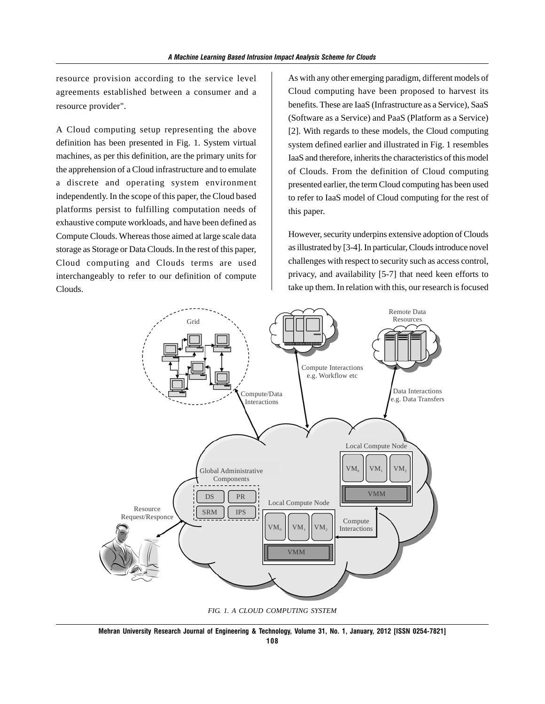resource provision according to the service level agreements established between a consumer and a resource provider".

A Cloud computing setup representing the above definition has been presented in Fig. 1. System virtual machines, as per this definition, are the primary units for the apprehension of a Cloud infrastructure and to emulate a discrete and operating system environment independently. In the scope of this paper, the Cloud based platforms persist to fulfilling computation needs of exhaustive compute workloads, and have been defined as Compute Clouds. Whereas those aimed at large scale data storage as Storage or Data Clouds. In the rest of this paper, Cloud computing and Clouds terms are used interchangeably to refer to our definition of compute Clouds.

As with any other emerging paradigm, different models of Cloud computing have been proposed to harvest its benefits. These are IaaS (Infrastructure as a Service), SaaS (Software as a Service) and PaaS (Platform as a Service) [2]. With regards to these models, the Cloud computing system defined earlier and illustrated in Fig. 1 resembles IaaS and therefore, inherits the characteristics of this model of Clouds. From the definition of Cloud computing presented earlier, the term Cloud computing has been used to refer to IaaS model of Cloud computing for the rest of this paper.

However, security underpins extensive adoption of Clouds as illustrated by [3-4]. In particular, Clouds introduce novel challenges with respect to security such as access control, privacy, and availability [5-7] that need keen efforts to take up them. In relation with this, our research is focused



*FIG. 1. A CLOUD COMPUTING SYSTEM*

**Mehran University Research Journal of Engineering & Technology, Volume 31, No. 1, January, 2012 [ISSN 0254-7821]**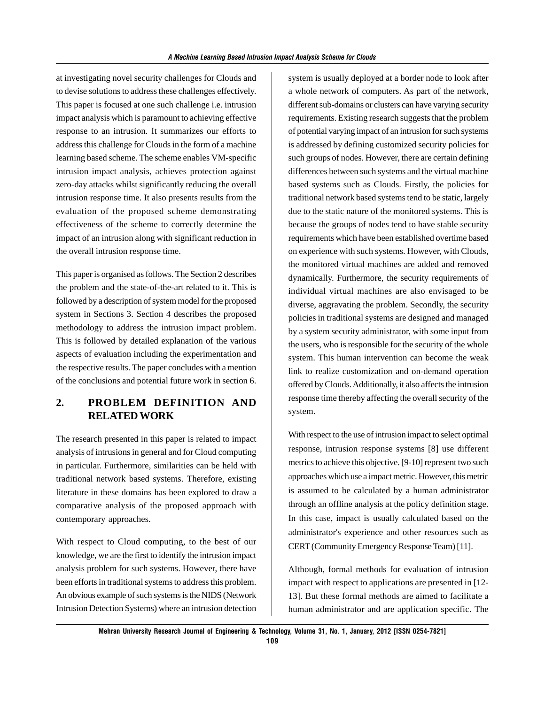at investigating novel security challenges for Clouds and to devise solutions to address these challenges effectively. This paper is focused at one such challenge i.e. intrusion impact analysis which is paramount to achieving effective response to an intrusion. It summarizes our efforts to address this challenge for Clouds in the form of a machine learning based scheme. The scheme enables VM-specific intrusion impact analysis, achieves protection against zero-day attacks whilst significantly reducing the overall intrusion response time. It also presents results from the evaluation of the proposed scheme demonstrating effectiveness of the scheme to correctly determine the impact of an intrusion along with significant reduction in the overall intrusion response time.

This paper is organised as follows. The Section 2 describes the problem and the state-of-the-art related to it. This is followed by a description of system model for the proposed system in Sections 3. Section 4 describes the proposed methodology to address the intrusion impact problem. This is followed by detailed explanation of the various aspects of evaluation including the experimentation and the respective results. The paper concludes with a mention of the conclusions and potential future work in section 6.

## **2. PROBLEM DEFINITION AND RELATED WORK**

The research presented in this paper is related to impact analysis of intrusions in general and for Cloud computing in particular. Furthermore, similarities can be held with traditional network based systems. Therefore, existing literature in these domains has been explored to draw a comparative analysis of the proposed approach with contemporary approaches.

With respect to Cloud computing, to the best of our knowledge, we are the first to identify the intrusion impact analysis problem for such systems. However, there have been efforts in traditional systems to address this problem. An obvious example of such systems is the NIDS (Network Intrusion Detection Systems) where an intrusion detection system is usually deployed at a border node to look after a whole network of computers. As part of the network, different sub-domains or clusters can have varying security requirements. Existing research suggests that the problem of potential varying impact of an intrusion for such systems is addressed by defining customized security policies for such groups of nodes. However, there are certain defining differences between such systems and the virtual machine based systems such as Clouds. Firstly, the policies for traditional network based systems tend to be static, largely due to the static nature of the monitored systems. This is because the groups of nodes tend to have stable security requirements which have been established overtime based on experience with such systems. However, with Clouds, the monitored virtual machines are added and removed dynamically. Furthermore, the security requirements of individual virtual machines are also envisaged to be diverse, aggravating the problem. Secondly, the security policies in traditional systems are designed and managed by a system security administrator, with some input from the users, who is responsible for the security of the whole system. This human intervention can become the weak link to realize customization and on-demand operation offered by Clouds. Additionally, it also affects the intrusion response time thereby affecting the overall security of the system.

With respect to the use of intrusion impact to select optimal response, intrusion response systems [8] use different metrics to achieve this objective. [9-10] represent two such approaches which use a impact metric. However, this metric is assumed to be calculated by a human administrator through an offline analysis at the policy definition stage. In this case, impact is usually calculated based on the administrator's experience and other resources such as CERT (Community Emergency Response Team) [11].

Although, formal methods for evaluation of intrusion impact with respect to applications are presented in [12- 13]. But these formal methods are aimed to facilitate a human administrator and are application specific. The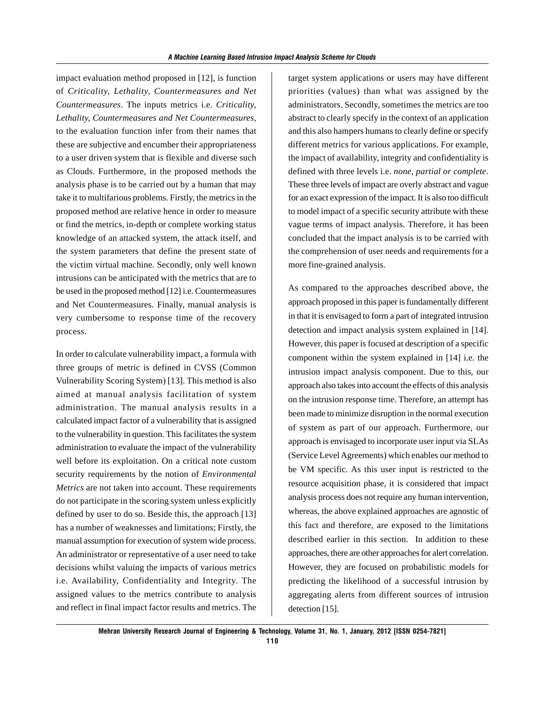impact evaluation method proposed in [12], is function of *Criticality, Lethality, Countermeasures and Net Countermeasures*. The inputs metrics i.e. *Criticality, Lethality, Countermeasures and Net Countermeasures*, to the evaluation function infer from their names that these are subjective and encumber their appropriateness to a user driven system that is flexible and diverse such as Clouds. Furthermore, in the proposed methods the analysis phase is to be carried out by a human that may take it to multifarious problems. Firstly, the metrics in the proposed method are relative hence in order to measure or find the metrics, in-depth or complete working status knowledge of an attacked system, the attack itself, and the system parameters that define the present state of the victim virtual machine. Secondly, only well known intrusions can be anticipated with the metrics that are to be used in the proposed method [12] i.e. Countermeasures and Net Countermeasures. Finally, manual analysis is very cumbersome to response time of the recovery process.

In order to calculate vulnerability impact, a formula with three groups of metric is defined in CVSS (Common Vulnerability Scoring System) [13]. This method is also aimed at manual analysis facilitation of system administration. The manual analysis results in a calculated impact factor of a vulnerability that is assigned to the vulnerability in question. This facilitates the system administration to evaluate the impact of the vulnerability well before its exploitation. On a critical note custom security requirements by the notion of *Environmental Metrics* are not taken into account. These requirements do not participate in the scoring system unless explicitly defined by user to do so. Beside this, the approach [13] has a number of weaknesses and limitations; Firstly, the manual assumption for execution of system wide process. An administrator or representative of a user need to take decisions whilst valuing the impacts of various metrics i.e. Availability, Confidentiality and Integrity. The assigned values to the metrics contribute to analysis and reflect in final impact factor results and metrics. The

target system applications or users may have different priorities (values) than what was assigned by the administrators. Secondly, sometimes the metrics are too abstract to clearly specify in the context of an application and this also hampers humans to clearly define or specify different metrics for various applications. For example, the impact of availability, integrity and confidentiality is defined with three levels i.e. *none, partial or complete*. These three levels of impact are overly abstract and vague for an exact expression of the impact. It is also too difficult to model impact of a specific security attribute with these vague terms of impact analysis. Therefore, it has been concluded that the impact analysis is to be carried with the comprehension of user needs and requirements for a more fine-grained analysis.

As compared to the approaches described above, the approach proposed in this paper is fundamentally different in that it is envisaged to form a part of integrated intrusion detection and impact analysis system explained in [14]. However, this paper is focused at description of a specific component within the system explained in [14] i.e. the intrusion impact analysis component. Due to this, our approach also takes into account the effects of this analysis on the intrusion response time. Therefore, an attempt has been made to minimize disruption in the normal execution of system as part of our approach. Furthermore, our approach is envisaged to incorporate user input via SLAs (Service Level Agreements) which enables our method to be VM specific. As this user input is restricted to the resource acquisition phase, it is considered that impact analysis process does not require any human intervention, whereas, the above explained approaches are agnostic of this fact and therefore, are exposed to the limitations described earlier in this section. In addition to these approaches, there are other approaches for alert correlation. However, they are focused on probabilistic models for predicting the likelihood of a successful intrusion by aggregating alerts from different sources of intrusion detection [15].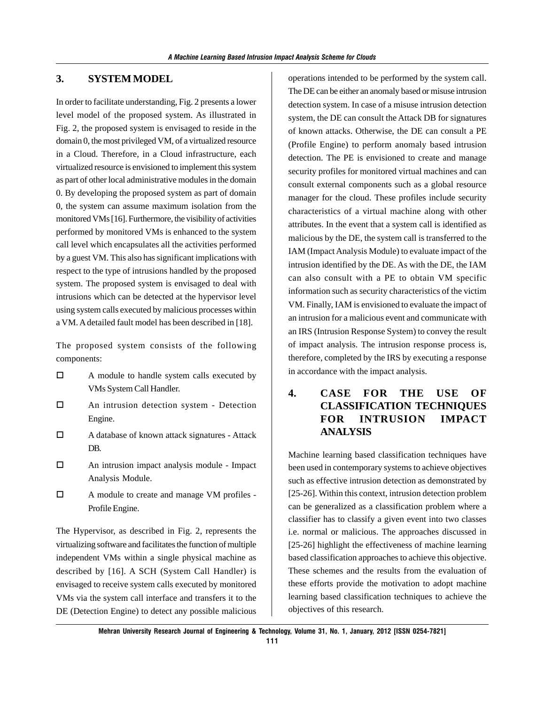## **3. SYSTEM MODEL**

In order to facilitate understanding, Fig. 2 presents a lower level model of the proposed system. As illustrated in Fig. 2, the proposed system is envisaged to reside in the domain 0, the most privileged VM, of a virtualized resource in a Cloud. Therefore, in a Cloud infrastructure, each virtualized resource is envisioned to implement this system as part of other local administrative modules in the domain 0. By developing the proposed system as part of domain 0, the system can assume maximum isolation from the monitored VMs [16]. Furthermore, the visibility of activities performed by monitored VMs is enhanced to the system call level which encapsulates all the activities performed by a guest VM. This also has significant implications with respect to the type of intrusions handled by the proposed system. The proposed system is envisaged to deal with intrusions which can be detected at the hypervisor level using system calls executed by malicious processes within a VM. A detailed fault model has been described in [18].

The proposed system consists of the following components:

- A module to handle system calls executed by VMs System Call Handler.
- An intrusion detection system Detection Engine.
- A database of known attack signatures Attack DB.
- An intrusion impact analysis module Impact Analysis Module.
- □ A module to create and manage VM profiles -Profile Engine.

The Hypervisor, as described in Fig. 2, represents the virtualizing software and facilitates the function of multiple independent VMs within a single physical machine as described by [16]. A SCH (System Call Handler) is envisaged to receive system calls executed by monitored VMs via the system call interface and transfers it to the DE (Detection Engine) to detect any possible malicious operations intended to be performed by the system call. The DE can be either an anomaly based or misuse intrusion detection system. In case of a misuse intrusion detection system, the DE can consult the Attack DB for signatures of known attacks. Otherwise, the DE can consult a PE (Profile Engine) to perform anomaly based intrusion detection. The PE is envisioned to create and manage security profiles for monitored virtual machines and can consult external components such as a global resource manager for the cloud. These profiles include security characteristics of a virtual machine along with other attributes. In the event that a system call is identified as malicious by the DE, the system call is transferred to the IAM (Impact Analysis Module) to evaluate impact of the intrusion identified by the DE. As with the DE, the IAM can also consult with a PE to obtain VM specific information such as security characteristics of the victim VM. Finally, IAM is envisioned to evaluate the impact of an intrusion for a malicious event and communicate with an IRS (Intrusion Response System) to convey the result of impact analysis. The intrusion response process is, therefore, completed by the IRS by executing a response in accordance with the impact analysis.

## **4. CASE FOR THE USE OF CLASSIFICATION TECHNIQUES FOR INTRUSION IMPACT ANALYSIS**

Machine learning based classification techniques have been used in contemporary systems to achieve objectives such as effective intrusion detection as demonstrated by [25-26]. Within this context, intrusion detection problem can be generalized as a classification problem where a classifier has to classify a given event into two classes i.e. normal or malicious. The approaches discussed in [25-26] highlight the effectiveness of machine learning based classification approaches to achieve this objective. These schemes and the results from the evaluation of these efforts provide the motivation to adopt machine learning based classification techniques to achieve the objectives of this research.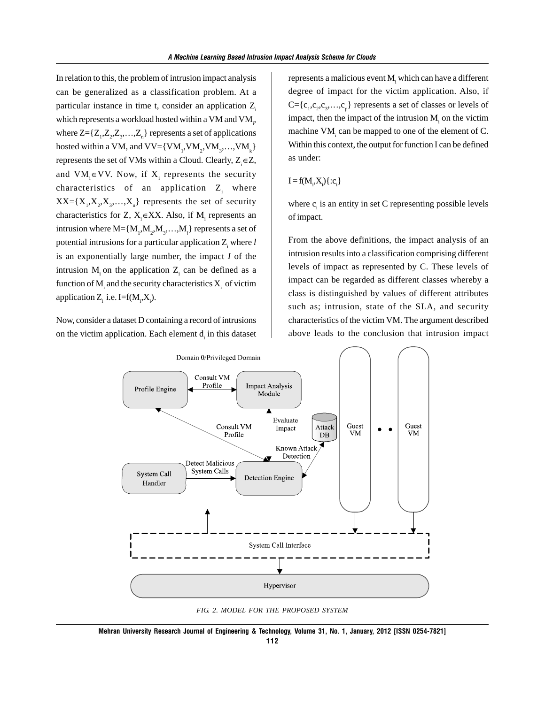In relation to this, the problem of intrusion impact analysis can be generalized as a classification problem. At a particular instance in time t, consider an application  $Z_i$ which represents a workload hosted within a VM and VM $_{i}$ , where  $Z = \{Z_1, Z_2, Z_3, \ldots, Z_n\}$  represents a set of applications hosted within a VM, and  $VV = \{VM_1, VM_2, VM_3, \ldots, VM_k\}$ represents the set of VMs within a Cloud. Clearly,  $Z_i \in Z$ , and  $VM_i \in VV$ . Now, if  $X_i$  represents the security characteristics of an application  $Z_i$  where  $XX = \{X_1, X_2, X_3, \ldots, X_n\}$  represents the set of security characteristics for Z,  $X_i \in XX$ . Also, if  $M_i$  represents an intrusion where  $M = \{M_1, M_2, M_3, \ldots, M_l\}$  represents a set of potential intrusions for a particular application  $Z_i$  where  $l$ is an exponentially large number, the impact *I* of the intrusion  $M_i$  on the application  $Z_i$  can be defined as a function of  $M<sub>i</sub>$  and the security characteristics  $X<sub>i</sub>$  of victim application  $Z_i$  i.e. I=f(M<sub>i</sub>,X<sub>i</sub>).

Now, consider a dataset D containing a record of intrusions on the victim application. Each element  $d_i$  in this dataset

represents a malicious event M<sub>i</sub> which can have a different degree of impact for the victim application. Also, if  $C = \{c_1, c_2, c_3, \ldots, c_p\}$  represents a set of classes or levels of impact, then the impact of the intrusion  $M<sub>i</sub>$  on the victim machine VM<sub>i</sub> can be mapped to one of the element of C. Within this context, the output for function I can be defined as under:

$$
I = f(M_i, X_i) \{ : c_i \}
$$

where  $c<sub>i</sub>$  is an entity in set C representing possible levels of impact.

From the above definitions, the impact analysis of an intrusion results into a classification comprising different levels of impact as represented by C. These levels of impact can be regarded as different classes whereby a class is distinguished by values of different attributes such as; intrusion, state of the SLA, and security characteristics of the victim VM. The argument described above leads to the conclusion that intrusion impact



*FIG. 2. MODEL FOR THE PROPOSED SYSTEM*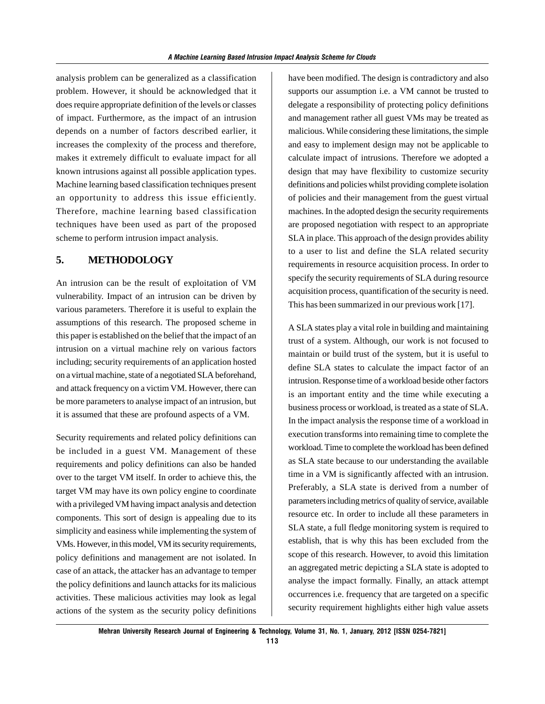analysis problem can be generalized as a classification problem. However, it should be acknowledged that it does require appropriate definition of the levels or classes of impact. Furthermore, as the impact of an intrusion depends on a number of factors described earlier, it increases the complexity of the process and therefore, makes it extremely difficult to evaluate impact for all known intrusions against all possible application types. Machine learning based classification techniques present an opportunity to address this issue efficiently. Therefore, machine learning based classification techniques have been used as part of the proposed scheme to perform intrusion impact analysis.

#### **5. METHODOLOGY**

An intrusion can be the result of exploitation of VM vulnerability. Impact of an intrusion can be driven by various parameters. Therefore it is useful to explain the assumptions of this research. The proposed scheme in this paper is established on the belief that the impact of an intrusion on a virtual machine rely on various factors including; security requirements of an application hosted on a virtual machine, state of a negotiated SLA beforehand, and attack frequency on a victim VM. However, there can be more parameters to analyse impact of an intrusion, but it is assumed that these are profound aspects of a VM.

Security requirements and related policy definitions can be included in a guest VM. Management of these requirements and policy definitions can also be handed over to the target VM itself. In order to achieve this, the target VM may have its own policy engine to coordinate with a privileged VM having impact analysis and detection components. This sort of design is appealing due to its simplicity and easiness while implementing the system of VMs. However, in this model, VM its security requirements, policy definitions and management are not isolated. In case of an attack, the attacker has an advantage to temper the policy definitions and launch attacks for its malicious activities. These malicious activities may look as legal actions of the system as the security policy definitions have been modified. The design is contradictory and also supports our assumption i.e. a VM cannot be trusted to delegate a responsibility of protecting policy definitions and management rather all guest VMs may be treated as malicious. While considering these limitations, the simple and easy to implement design may not be applicable to calculate impact of intrusions. Therefore we adopted a design that may have flexibility to customize security definitions and policies whilst providing complete isolation of policies and their management from the guest virtual machines. In the adopted design the security requirements are proposed negotiation with respect to an appropriate SLA in place. This approach of the design provides ability to a user to list and define the SLA related security requirements in resource acquisition process. In order to specify the security requirements of SLA during resource acquisition process, quantification of the security is need. This has been summarized in our previous work [17].

A SLA states play a vital role in building and maintaining trust of a system. Although, our work is not focused to maintain or build trust of the system, but it is useful to define SLA states to calculate the impact factor of an intrusion. Response time of a workload beside other factors is an important entity and the time while executing a business process or workload, is treated as a state of SLA. In the impact analysis the response time of a workload in execution transforms into remaining time to complete the workload. Time to complete the workload has been defined as SLA state because to our understanding the available time in a VM is significantly affected with an intrusion. Preferably, a SLA state is derived from a number of parameters including metrics of quality of service, available resource etc. In order to include all these parameters in SLA state, a full fledge monitoring system is required to establish, that is why this has been excluded from the scope of this research. However, to avoid this limitation an aggregated metric depicting a SLA state is adopted to analyse the impact formally. Finally, an attack attempt occurrences i.e. frequency that are targeted on a specific security requirement highlights either high value assets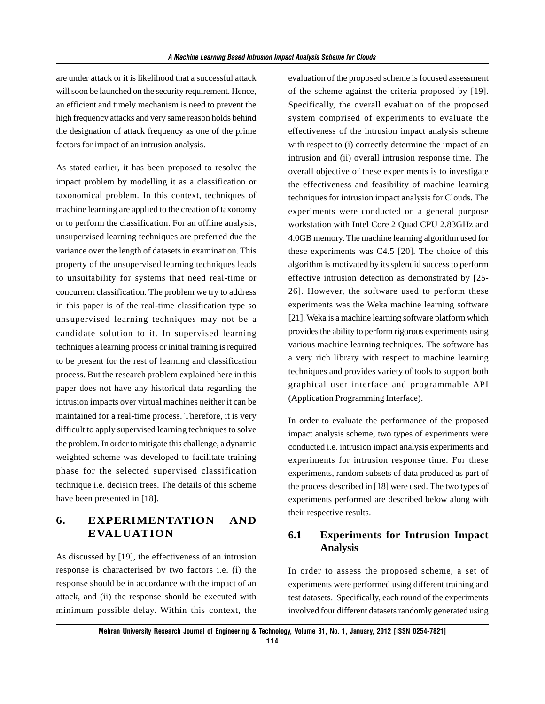are under attack or it is likelihood that a successful attack will soon be launched on the security requirement. Hence, an efficient and timely mechanism is need to prevent the high frequency attacks and very same reason holds behind the designation of attack frequency as one of the prime factors for impact of an intrusion analysis.

As stated earlier, it has been proposed to resolve the impact problem by modelling it as a classification or taxonomical problem. In this context, techniques of machine learning are applied to the creation of taxonomy or to perform the classification. For an offline analysis, unsupervised learning techniques are preferred due the variance over the length of datasets in examination. This property of the unsupervised learning techniques leads to unsuitability for systems that need real-time or concurrent classification. The problem we try to address in this paper is of the real-time classification type so unsupervised learning techniques may not be a candidate solution to it. In supervised learning techniques a learning process or initial training is required to be present for the rest of learning and classification process. But the research problem explained here in this paper does not have any historical data regarding the intrusion impacts over virtual machines neither it can be maintained for a real-time process. Therefore, it is very difficult to apply supervised learning techniques to solve the problem. In order to mitigate this challenge, a dynamic weighted scheme was developed to facilitate training phase for the selected supervised classification technique i.e. decision trees. The details of this scheme have been presented in [18].

## **6. EXPERIMENTATION AND EVALUATION**

As discussed by [19], the effectiveness of an intrusion response is characterised by two factors i.e. (i) the response should be in accordance with the impact of an attack, and (ii) the response should be executed with minimum possible delay. Within this context, the evaluation of the proposed scheme is focused assessment of the scheme against the criteria proposed by [19]. Specifically, the overall evaluation of the proposed system comprised of experiments to evaluate the effectiveness of the intrusion impact analysis scheme with respect to (i) correctly determine the impact of an intrusion and (ii) overall intrusion response time. The overall objective of these experiments is to investigate the effectiveness and feasibility of machine learning techniques for intrusion impact analysis for Clouds. The experiments were conducted on a general purpose workstation with Intel Core 2 Quad CPU 2.83GHz and 4.0GB memory. The machine learning algorithm used for these experiments was C4.5 [20]. The choice of this algorithm is motivated by its splendid success to perform effective intrusion detection as demonstrated by [25- 26]. However, the software used to perform these experiments was the Weka machine learning software [21]. Weka is a machine learning software platform which provides the ability to perform rigorous experiments using various machine learning techniques. The software has a very rich library with respect to machine learning techniques and provides variety of tools to support both graphical user interface and programmable API (Application Programming Interface).

In order to evaluate the performance of the proposed impact analysis scheme, two types of experiments were conducted i.e. intrusion impact analysis experiments and experiments for intrusion response time. For these experiments, random subsets of data produced as part of the process described in [18] were used. The two types of experiments performed are described below along with their respective results.

## **6.1 Experiments for Intrusion Impact Analysis**

In order to assess the proposed scheme, a set of experiments were performed using different training and test datasets. Specifically, each round of the experiments involved four different datasets randomly generated using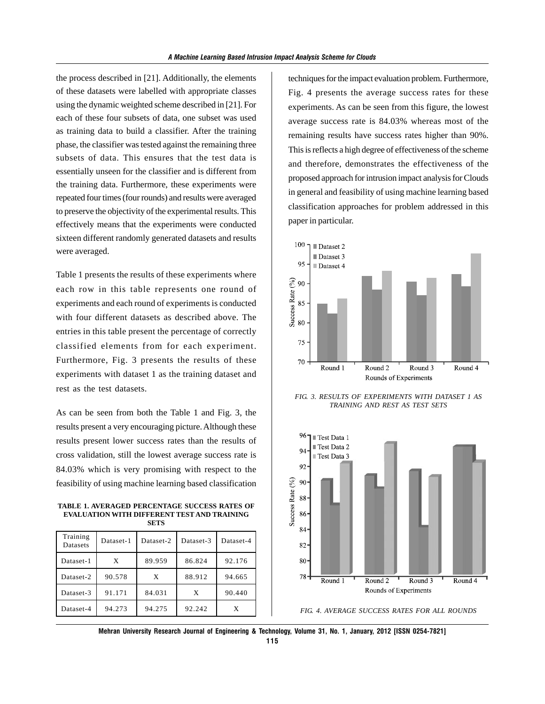the process described in [21]. Additionally, the elements of these datasets were labelled with appropriate classes using the dynamic weighted scheme described in [21]. For each of these four subsets of data, one subset was used as training data to build a classifier. After the training phase, the classifier was tested against the remaining three subsets of data. This ensures that the test data is essentially unseen for the classifier and is different from the training data. Furthermore, these experiments were repeated four times (four rounds) and results were averaged to preserve the objectivity of the experimental results. This effectively means that the experiments were conducted sixteen different randomly generated datasets and results were averaged.

Table 1 presents the results of these experiments where each row in this table represents one round of experiments and each round of experiments is conducted with four different datasets as described above. The entries in this table present the percentage of correctly classified elements from for each experiment. Furthermore, Fig. 3 presents the results of these experiments with dataset 1 as the training dataset and rest as the test datasets.

As can be seen from both the Table 1 and Fig. 3, the results present a very encouraging picture. Although these results present lower success rates than the results of cross validation, still the lowest average success rate is 84.03% which is very promising with respect to the feasibility of using machine learning based classification

**TABLE 1. AVERAGED PERCENTAGE SUCCESS RATES OF EVALUATION WITH DIFFERENT TEST AND TRAINING SETS**

| Training<br>Datasets | Dataset-1 | Dataset-2 | Dataset-3 | Dataset-4 |
|----------------------|-----------|-----------|-----------|-----------|
| Dataset-1            | X         | 89.959    | 86.824    | 92.176    |
| Dataset-2            | 90.578    | X         | 88.912    | 94.665    |
| Dataset-3            | 91.171    | 84.031    | X         | 90.440    |
| Dataset-4            | 94.273    | 94.275    | 92.242    | X         |

techniques for the impact evaluation problem. Furthermore, Fig. 4 presents the average success rates for these experiments. As can be seen from this figure, the lowest average success rate is 84.03% whereas most of the remaining results have success rates higher than 90%. This is reflects a high degree of effectiveness of the scheme and therefore, demonstrates the effectiveness of the proposed approach for intrusion impact analysis for Clouds in general and feasibility of using machine learning based classification approaches for problem addressed in this paper in particular.



*FIG. 3. RESULTS OF EXPERIMENTS WITH DATASET 1 AS TRAINING AND REST AS TEST SETS*



*FIG. 4. AVERAGE SUCCESS RATES FOR ALL ROUNDS*

**Mehran University Research Journal of Engineering & Technology, Volume 31, No. 1, January, 2012 [ISSN 0254-7821]**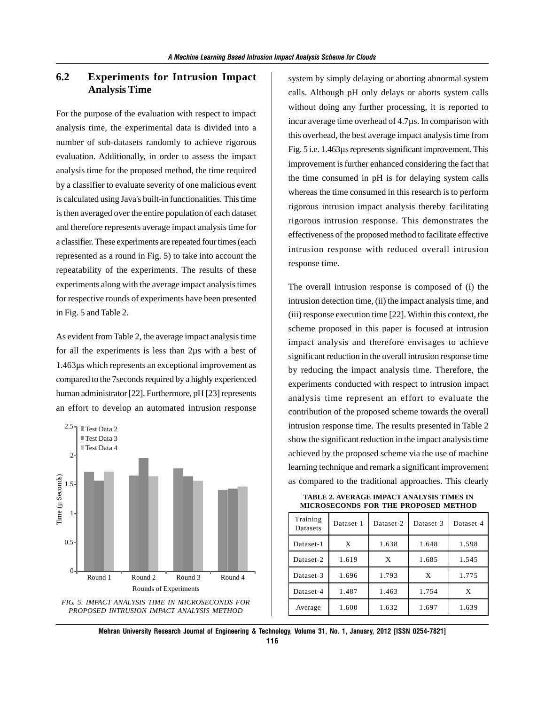## **6.2 Experiments for Intrusion Impact Analysis Time**

For the purpose of the evaluation with respect to impact analysis time, the experimental data is divided into a number of sub-datasets randomly to achieve rigorous evaluation. Additionally, in order to assess the impact analysis time for the proposed method, the time required by a classifier to evaluate severity of one malicious event is calculated using Java's built-in functionalities. This time is then averaged over the entire population of each dataset and therefore represents average impact analysis time for a classifier. These experiments are repeated four times (each represented as a round in Fig. 5) to take into account the repeatability of the experiments. The results of these experiments along with the average impact analysis times for respective rounds of experiments have been presented in Fig. 5 and Table 2.

As evident from Table 2, the average impact analysis time for all the experiments is less than 2µs with a best of 1.463µs which represents an exceptional improvement as compared to the 7seconds required by a highly experienced human administrator [22]. Furthermore, pH [23] represents an effort to develop an automated intrusion response



system by simply delaying or aborting abnormal system calls. Although pH only delays or aborts system calls without doing any further processing, it is reported to incur average time overhead of 4.7µs. In comparison with this overhead, the best average impact analysis time from Fig. 5 i.e. 1.463µs represents significant improvement. This improvement is further enhanced considering the fact that the time consumed in pH is for delaying system calls whereas the time consumed in this research is to perform rigorous intrusion impact analysis thereby facilitating rigorous intrusion response. This demonstrates the effectiveness of the proposed method to facilitate effective intrusion response with reduced overall intrusion response time.

The overall intrusion response is composed of (i) the intrusion detection time, (ii) the impact analysis time, and (iii) response execution time [22]. Within this context, the scheme proposed in this paper is focused at intrusion impact analysis and therefore envisages to achieve significant reduction in the overall intrusion response time by reducing the impact analysis time. Therefore, the experiments conducted with respect to intrusion impact analysis time represent an effort to evaluate the contribution of the proposed scheme towards the overall intrusion response time. The results presented in Table 2 show the significant reduction in the impact analysis time achieved by the proposed scheme via the use of machine learning technique and remark a significant improvement as compared to the traditional approaches. This clearly

**TABLE 2. AVERAGE IMPACT ANALYSIS TIMES IN MICROSECONDS FOR THE PROPOSED METHOD**

| Training<br><b>Datasets</b> | Dataset-1 | Dataset-2 | Dataset-3 | Dataset-4 |
|-----------------------------|-----------|-----------|-----------|-----------|
| Dataset-1                   | X         | 1.638     | 1.648     | 1.598     |
| Dataset-2                   | 1.619     | X         | 1.685     | 1.545     |
| Dataset-3                   | 1.696     | 1.793     | X         | 1.775     |
| Dataset-4                   | 1.487     | 1.463     | 1.754     | X         |
| Average                     | 1.600     | 1.632     | 1.697     | 1.639     |

**Mehran University Research Journal of Engineering & Technology, Volume 31, No. 1, January, 2012 [ISSN 0254-7821] 116**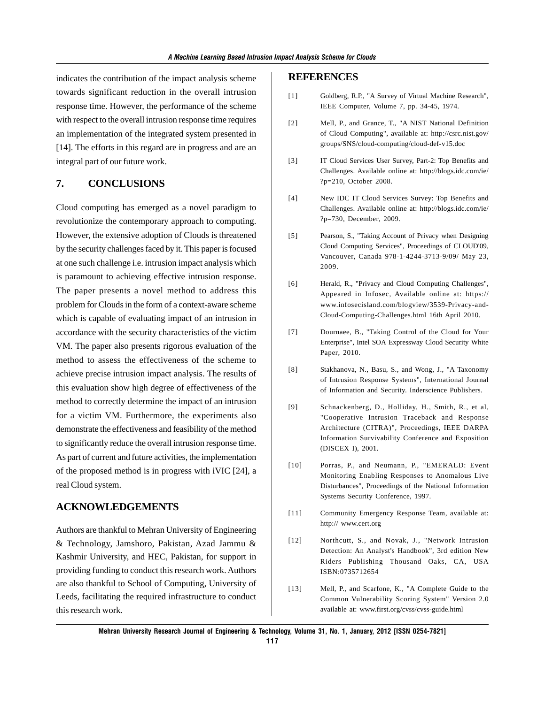indicates the contribution of the impact analysis scheme towards significant reduction in the overall intrusion response time. However, the performance of the scheme with respect to the overall intrusion response time requires an implementation of the integrated system presented in [14]. The efforts in this regard are in progress and are an integral part of our future work.

## **7. CONCLUSIONS**

Cloud computing has emerged as a novel paradigm to revolutionize the contemporary approach to computing. However, the extensive adoption of Clouds is threatened by the security challenges faced by it. This paper is focused at one such challenge i.e. intrusion impact analysis which is paramount to achieving effective intrusion response. The paper presents a novel method to address this problem for Clouds in the form of a context-aware scheme which is capable of evaluating impact of an intrusion in accordance with the security characteristics of the victim VM. The paper also presents rigorous evaluation of the method to assess the effectiveness of the scheme to achieve precise intrusion impact analysis. The results of this evaluation show high degree of effectiveness of the method to correctly determine the impact of an intrusion for a victim VM. Furthermore, the experiments also demonstrate the effectiveness and feasibility of the method to significantly reduce the overall intrusion response time. As part of current and future activities, the implementation of the proposed method is in progress with iVIC [24], a real Cloud system.

#### **ACKNOWLEDGEMENTS**

Authors are thankful to Mehran University of Engineering & Technology, Jamshoro, Pakistan, Azad Jammu & Kashmir University, and HEC, Pakistan, for support in providing funding to conduct this research work. Authors are also thankful to School of Computing, University of Leeds, facilitating the required infrastructure to conduct this research work.

#### **REFERENCES**

- [1] Goldberg, R.P., "A Survey of Virtual Machine Research", IEEE Computer, Volume 7, pp. 34-45, 1974.
- [2] Mell, P., and Grance, T., "A NIST National Definition of Cloud Computing", available at: http://csrc.nist.gov/ groups/SNS/cloud-computing/cloud-def-v15.doc
- [3] IT Cloud Services User Survey, Part-2: Top Benefits and Challenges. Available online at: http://blogs.idc.com/ie/ ?p=210, October 2008.
- [4] New IDC IT Cloud Services Survey: Top Benefits and Challenges. Available online at: http://blogs.idc.com/ie/ ?p=730, December, 2009.
- [5] Pearson, S., "Taking Account of Privacy when Designing Cloud Computing Services", Proceedings of CLOUD'09, Vancouver, Canada 978-1-4244-3713-9/09/ May 23, 2009.
- [6] Herald, R., "Privacy and Cloud Computing Challenges", Appeared in Infosec, Available online at: https:// www.infosecisland.com/blogview/3539-Privacy-and-Cloud-Computing-Challenges.html 16th April 2010.
- [7] Dournaee, B., "Taking Control of the Cloud for Your Enterprise", Intel SOA Expressway Cloud Security White Paper, 2010.
- [8] Stakhanova, N., Basu, S., and Wong, J., "A Taxonomy of Intrusion Response Systems", International Journal of Information and Security. Inderscience Publishers.
- [9] Schnackenberg, D., Holliday, H., Smith, R., et al, "Cooperative Intrusion Traceback and Response Architecture (CITRA)", Proceedings, IEEE DARPA Information Survivability Conference and Exposition (DISCEX I), 2001.
- [10] Porras, P., and Neumann, P., "EMERALD: Event Monitoring Enabling Responses to Anomalous Live Disturbances", Proceedings of the National Information Systems Security Conference, 1997.
- [11] Community Emergency Response Team, available at: http:// www.cert.org
- [12] Northcutt, S., and Novak, J., "Network Intrusion Detection: An Analyst's Handbook", 3rd edition New Riders Publishing Thousand Oaks, CA, USA ISBN:0735712654
- [13] Mell, P., and Scarfone, K., "A Complete Guide to the Common Vulnerability Scoring System" Version 2.0 available at: www.first.org/cvss/cvss-guide.html